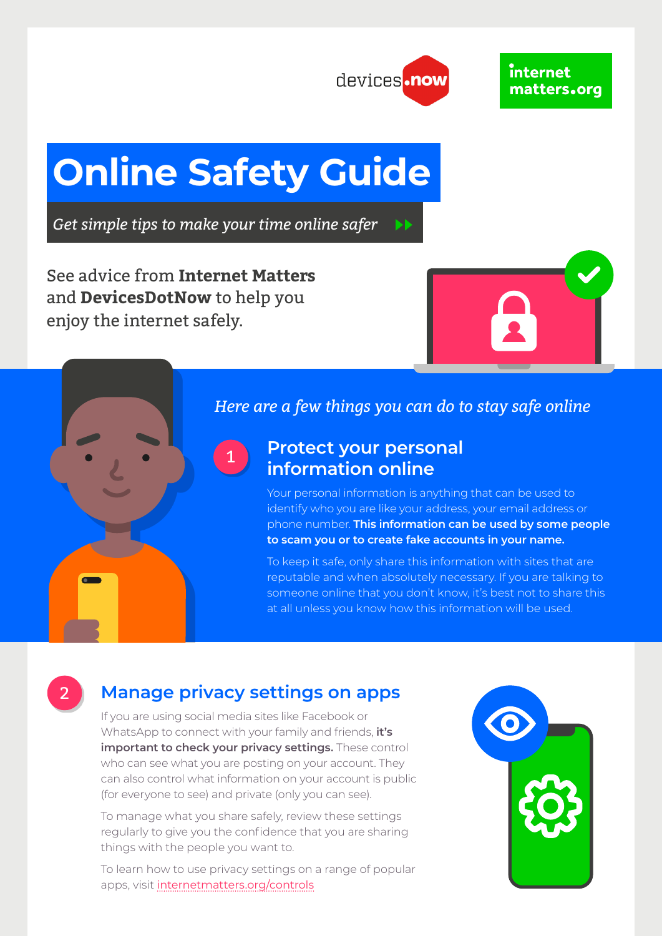

# **Online Safety Guide**

*Get simple tips to make your time online safer*

See advice from **Internet Matters** and **DevicesDotNow** to help you enjoy the internet safely.





2

## *Here are a few things you can do to stay safe online*

## **Protect your personal information online**

Your personal information is anything that can be used to identify who you are like your address, your email address or phone number. **This information can be used by some people to scam you or to create fake accounts in your name.** 

To keep it safe, only share this information with sites that are reputable and when absolutely necessary. If you are talking to someone online that you don't know, it's best not to share this at all unless you know how this information will be used.

# **Manage privacy settings on apps**

If you are using social media sites like Facebook or WhatsApp to connect with your family and friends, **it's important to check your privacy settings.** These control who can see what you are posting on your account. They can also control what information on your account is public (for everyone to see) and private (only you can see).

To manage what you share safely, review these settings regularly to give you the confidence that you are sharing things with the people you want to.

To learn how to use privacy settings on a range of popular apps, visit [internetmatters.org/controls](https://www.internetmatters.org/parental-controls/)

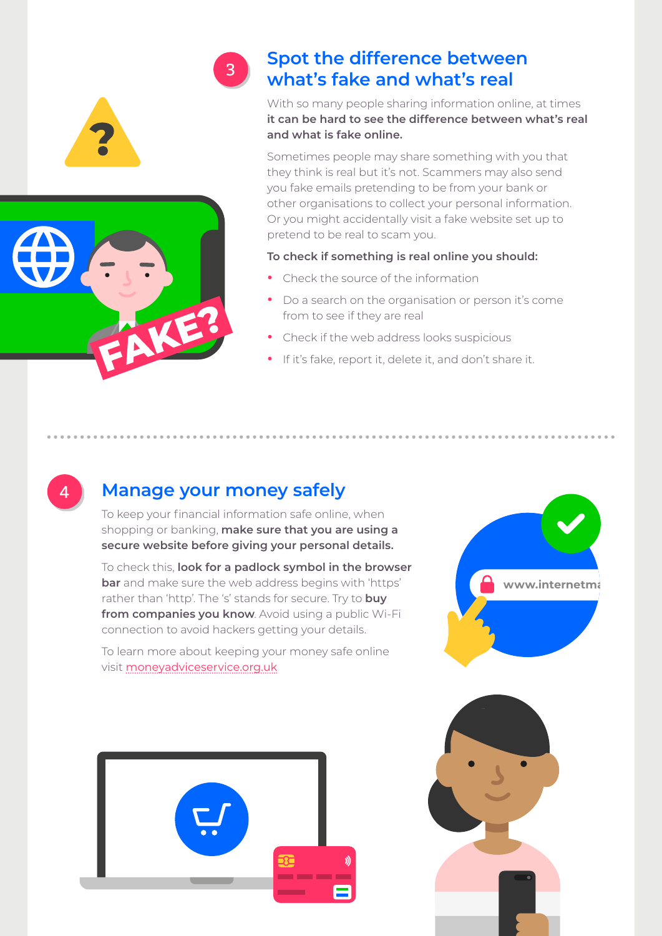

4

# **Spot the difference between what's fake and what's real**

With so many people sharing information online, at times **it can be hard to see the difference between what's real and what is fake online.** 

Sometimes people may share something with you that they think is real but it's not. Scammers may also send you fake emails pretending to be from your bank or other organisations to collect your personal information. Or you might accidentally visit a fake website set up to pretend to be real to scam you.

#### **To check if something is real online you should:**

- **•** Check the source of the information
- **•** Do a search on the organisation or person it's come from to see if they are real
- **•** Check if the web address looks suspicious
- **•** If it's fake, report it, delete it, and don't share it.

# **Manage your money safely**

3

To keep your financial information safe online, when shopping or banking, **make sure that you are using a secure website before giving your personal details.** 

To check this, **look for a padlock symbol in the browser bar** and make sure the web address begins with 'https' rather than 'http'. The 's' stands for secure. Try to **buy from companies you know**. Avoid using a public Wi-Fi connection to avoid hackers getting your details.

To learn more about keeping your money safe online visit [moneyadviceservice.org.uk](http://moneyadviceservice.org.uk)